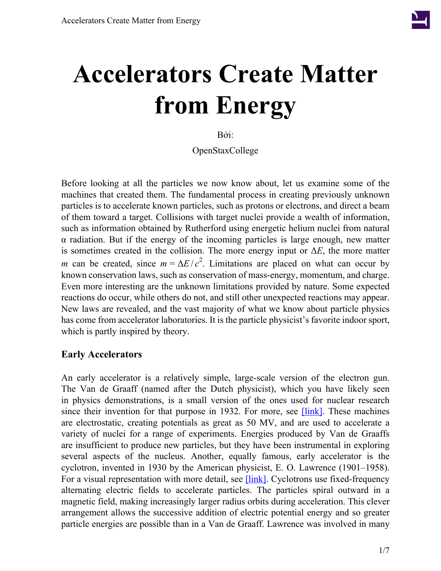

# **Accelerators Create Matter from Energy**

Bởi:

OpenStaxCollege

Before looking at all the particles we now know about, let us examine some of the machines that created them. The fundamental process in creating previously unknown particles is to accelerate known particles, such as protons or electrons, and direct a beam of them toward a target. Collisions with target nuclei provide a wealth of information, such as information obtained by Rutherford using energetic helium nuclei from natural α radiation. But if the energy of the incoming particles is large enough, new matter is sometimes created in the collision. The more energy input or  $\Delta E$ , the more matter *m* can be created, since  $m = \Delta E/c^2$ . Limitations are placed on what can occur by known conservation laws, such as conservation of mass-energy, momentum, and charge. Even more interesting are the unknown limitations provided by nature. Some expected reactions do occur, while others do not, and still other unexpected reactions may appear. New laws are revealed, and the vast majority of what we know about particle physics has come from accelerator laboratories. It is the particle physicist's favorite indoor sport, which is partly inspired by theory.

#### **Early Accelerators**

An early accelerator is a relatively simple, large-scale version of the electron gun. The Van de Graaff (named after the Dutch physicist), which you have likely seen in physics demonstrations, is a small version of the ones used for nuclear research since their invention for that purpose in 1932. For more, see  $[link]$ . These machines are electrostatic, creating potentials as great as 50 MV, and are used to accelerate a variety of nuclei for a range of experiments. Energies produced by Van de Graaffs are insufficient to produce new particles, but they have been instrumental in exploring several aspects of the nucleus. Another, equally famous, early accelerator is the cyclotron, invented in 1930 by the American physicist, E. O. Lawrence (1901–1958). For a visual representation with more detail, see [\[link\].](#page-2-0) Cyclotrons use fixed-frequency alternating electric fields to accelerate particles. The particles spiral outward in a magnetic field, making increasingly larger radius orbits during acceleration. This clever arrangement allows the successive addition of electric potential energy and so greater particle energies are possible than in a Van de Graaff. Lawrence was involved in many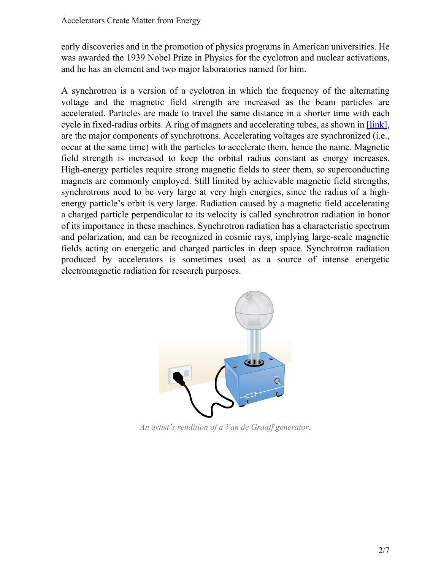early discoveries and in the promotion of physics programs in American universities. He was awarded the 1939 Nobel Prize in Physics for the cyclotron and nuclear activations, and he has an element and two major laboratories named for him.

A synchrotron is a version of a cyclotron in which the frequency of the alternating voltage and the magnetic field strength are increased as the beam particles are accelerated. Particles are made to travel the same distance in a shorter time with each cycle in fixed-radius orbits. A ring of magnets and accelerating tubes, as shown in [\[link\],](#page-2-1) are the major components of synchrotrons. Accelerating voltages are synchronized (i.e., occur at the same time) with the particles to accelerate them, hence the name. Magnetic field strength is increased to keep the orbital radius constant as energy increases. High-energy particles require strong magnetic fields to steer them, so superconducting magnets are commonly employed. Still limited by achievable magnetic field strengths, synchrotrons need to be very large at very high energies, since the radius of a highenergy particle's orbit is very large. Radiation caused by a magnetic field accelerating a charged particle perpendicular to its velocity is called synchrotron radiation in honor of its importance in these machines. Synchrotron radiation has a characteristic spectrum and polarization, and can be recognized in cosmic rays, implying large-scale magnetic fields acting on energetic and charged particles in deep space. Synchrotron radiation produced by accelerators is sometimes used as a source of intense energetic electromagnetic radiation for research purposes.

<span id="page-1-0"></span>

*An artist's rendition of a Van de Graaff generator.*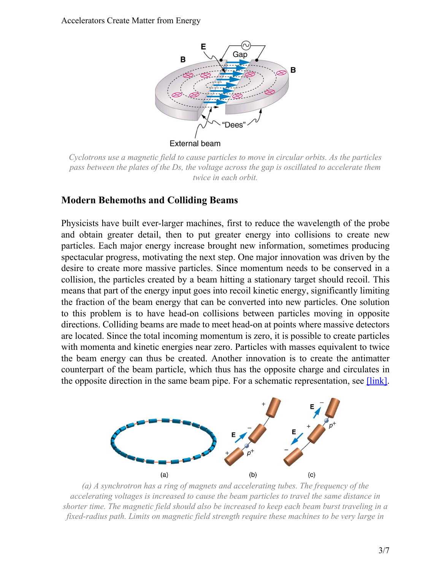

<span id="page-2-0"></span>*Cyclotrons use a magnetic field to cause particles to move in circular orbits. As the particles pass between the plates of the Ds, the voltage across the gap is oscillated to accelerate them twice in each orbit.*

#### **Modern Behemoths and Colliding Beams**

Physicists have built ever-larger machines, first to reduce the wavelength of the probe and obtain greater detail, then to put greater energy into collisions to create new particles. Each major energy increase brought new information, sometimes producing spectacular progress, motivating the next step. One major innovation was driven by the desire to create more massive particles. Since momentum needs to be conserved in a collision, the particles created by a beam hitting a stationary target should recoil. This means that part of the energy input goes into recoil kinetic energy, significantly limiting the fraction of the beam energy that can be converted into new particles. One solution to this problem is to have head-on collisions between particles moving in opposite directions. Colliding beams are made to meet head-on at points where massive detectors are located. Since the total incoming momentum is zero, it is possible to create particles with momenta and kinetic energies near zero. Particles with masses equivalent to twice the beam energy can thus be created. Another innovation is to create the antimatter counterpart of the beam particle, which thus has the opposite charge and circulates in the opposite direction in the same beam pipe. For a schematic representation, see [\[link\].](#page-3-0)

<span id="page-2-1"></span>

*(a) A synchrotron has a ring of magnets and accelerating tubes. The frequency of the accelerating voltages is increased to cause the beam particles to travel the same distance in shorter time. The magnetic field should also be increased to keep each beam burst traveling in a fixed-radius path. Limits on magnetic field strength require these machines to be very large in*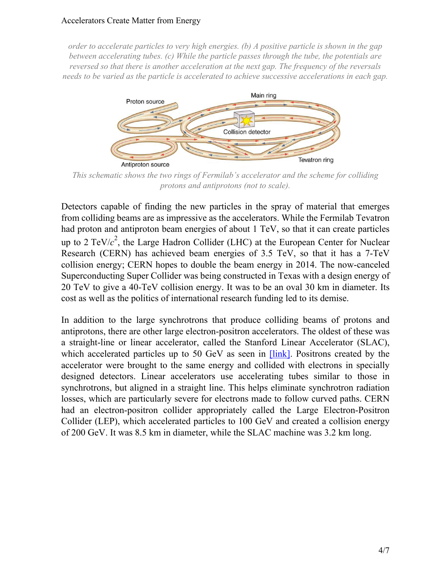#### Accelerators Create Matter from Energy

<span id="page-3-0"></span>*order to accelerate particles to very high energies. (b) A positive particle is shown in the gap between accelerating tubes. (c) While the particle passes through the tube, the potentials are reversed so that there is another acceleration at the next gap. The frequency of the reversals needs to be varied as the particle is accelerated to achieve successive accelerations in each gap.*



*This schematic shows the two rings of Fermilab's accelerator and the scheme for colliding protons and antiprotons (not to scale).*

Detectors capable of finding the new particles in the spray of material that emerges from colliding beams are as impressive as the accelerators. While the Fermilab Tevatron had proton and antiproton beam energies of about 1 TeV, so that it can create particles up to 2 TeV/ $c^2$ , the Large Hadron Collider (LHC) at the European Center for Nuclear Research (CERN) has achieved beam energies of 3.5 TeV, so that it has a 7-TeV collision energy; CERN hopes to double the beam energy in 2014. The now-canceled Superconducting Super Collider was being constructed in Texas with a design energy of 20 TeV to give a 40-TeV collision energy. It was to be an oval 30 km in diameter. Its cost as well as the politics of international research funding led to its demise.

In addition to the large synchrotrons that produce colliding beams of protons and antiprotons, there are other large electron-positron accelerators. The oldest of these was a straight-line or linear accelerator, called the Stanford Linear Accelerator (SLAC), which accelerated particles up to 50 GeV as seen in *[\[link\]](#page-4-0)*. Positrons created by the accelerator were brought to the same energy and collided with electrons in specially designed detectors. Linear accelerators use accelerating tubes similar to those in synchrotrons, but aligned in a straight line. This helps eliminate synchrotron radiation losses, which are particularly severe for electrons made to follow curved paths. CERN had an electron-positron collider appropriately called the Large Electron-Positron Collider (LEP), which accelerated particles to 100 GeV and created a collision energy of 200 GeV. It was 8.5 km in diameter, while the SLAC machine was 3.2 km long.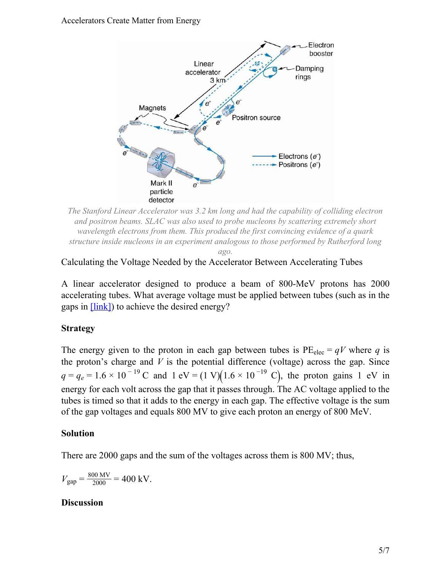<span id="page-4-0"></span>

*The Stanford Linear Accelerator was 3.2 km long and had the capability of colliding electron and positron beams. SLAC was also used to probe nucleons by scattering extremely short wavelength electrons from them. This produced the first convincing evidence of a quark structure inside nucleons in an experiment analogous to those performed by Rutherford long ago.*

Calculating the Voltage Needed by the Accelerator Between Accelerating Tubes

A linear accelerator designed to produce a beam of 800-MeV protons has 2000 accelerating tubes. What average voltage must be applied between tubes (such as in the gaps in [\[link\]](#page-2-1)) to achieve the desired energy?

### **Strategy**

The energy given to the proton in each gap between tubes is  $PE_{elec} = qV$  where *q* is the proton's charge and  $V$  is the potential difference (voltage) across the gap. Since  $q = q_e = 1.6 \times 10^{-19}$  C and 1 eV = (1 V)(1.6 × 10<sup>-19</sup> C), the proton gains 1 eV in energy for each volt across the gap that it passes through. The AC voltage applied to the tubes is timed so that it adds to the energy in each gap. The effective voltage is the sum of the gap voltages and equals 800 MV to give each proton an energy of 800 MeV.

#### **Solution**

There are 2000 gaps and the sum of the voltages across them is 800 MV; thus,

$$
V_{\rm gap} = \frac{800 \text{ MV}}{2000} = 400 \text{ kV}.
$$

#### **Discussion**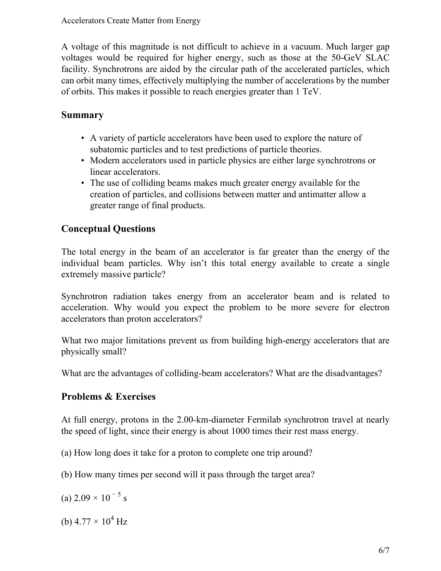A voltage of this magnitude is not difficult to achieve in a vacuum. Much larger gap voltages would be required for higher energy, such as those at the 50-GeV SLAC facility. Synchrotrons are aided by the circular path of the accelerated particles, which can orbit many times, effectively multiplying the number of accelerations by the number of orbits. This makes it possible to reach energies greater than 1 TeV.

## **Summary**

- A variety of particle accelerators have been used to explore the nature of subatomic particles and to test predictions of particle theories.
- Modern accelerators used in particle physics are either large synchrotrons or linear accelerators.
- The use of colliding beams makes much greater energy available for the creation of particles, and collisions between matter and antimatter allow a greater range of final products.

# **Conceptual Questions**

The total energy in the beam of an accelerator is far greater than the energy of the individual beam particles. Why isn't this total energy available to create a single extremely massive particle?

Synchrotron radiation takes energy from an accelerator beam and is related to acceleration. Why would you expect the problem to be more severe for electron accelerators than proton accelerators?

What two major limitations prevent us from building high-energy accelerators that are physically small?

What are the advantages of colliding-beam accelerators? What are the disadvantages?

## **Problems & Exercises**

At full energy, protons in the 2.00-km-diameter Fermilab synchrotron travel at nearly the speed of light, since their energy is about 1000 times their rest mass energy.

(a) How long does it take for a proton to complete one trip around?

(b) How many times per second will it pass through the target area?

- (a)  $2.09 \times 10^{-5}$  s
- (b)  $4.77 \times 10^4$  Hz